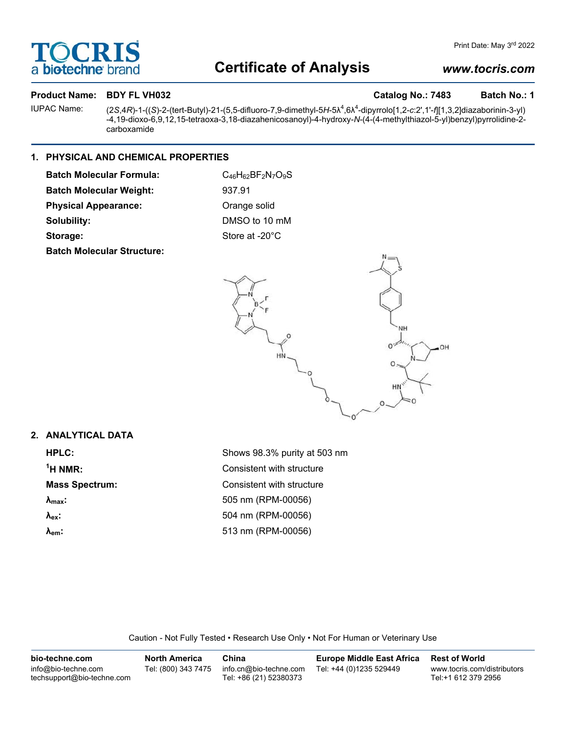# OCRI **bio-techne**

# **Certificate of Analysis**

## *www.tocris.com*

#### **Product Name: BDY FL VH032 Catalog No.: 7483** Batch No.: 1

IUPAC Name: (2*S*,4*R*)-1-((*S*)-2-(tert-Butyl)-21-(5,5-difluoro-7,9-dimethyl-5*H*-5λ<sup>4</sup> ,6λ<sup>4</sup> -dipyrrolo[1,2-*c*:2',1'-*f*][1,3,2]diazaborinin-3-yl) -4,19-dioxo-6,9,12,15-tetraoxa-3,18-diazahenicosanoyl)-4-hydroxy-*N*-(4-(4-methylthiazol-5-yl)benzyl)pyrrolidine-2 carboxamide

## **1. PHYSICAL AND CHEMICAL PROPERTIES**

| <b>Batch Molecular Formula:</b> | $C_{46}H_{62}BF_{2}N_{7}O_{9}S$ |
|---------------------------------|---------------------------------|
| <b>Batch Molecular Weight:</b>  | 937.91                          |
| <b>Physical Appearance:</b>     | Orange solid                    |
| Solubility:                     | DMSO to 10 mM                   |
| Storage:                        | Store at -20°C                  |
|                                 |                                 |

**Batch Molecular Structure:**



### **2. ANALYTICAL DATA**

**1**

**HPLC:** Shows 98.3% purity at 503 nm **Consistent with structure Mass Spectrum:** Consistent with structure **λmax:** 505 nm (RPM-00056) **λex:** 504 nm (RPM-00056) **λem:** 513 nm (RPM-00056)

Caution - Not Fully Tested • Research Use Only • Not For Human or Veterinary Use

| bio-techne.com                                    | <b>North America</b> | China                                            | <b>Europe Middle East Africa</b> | <b>Rest of World</b>                               |
|---------------------------------------------------|----------------------|--------------------------------------------------|----------------------------------|----------------------------------------------------|
| info@bio-techne.com<br>techsupport@bio-techne.com | Tel: (800) 343 7475  | info.cn@bio-techne.com<br>Tel: +86 (21) 52380373 | Tel: +44 (0)1235 529449          | www.tocris.com/distributors<br>Tel:+1 612 379 2956 |